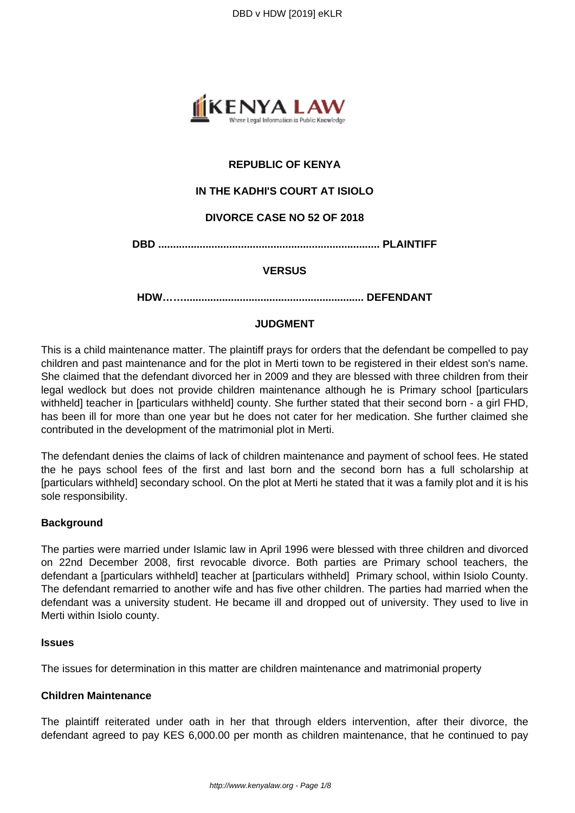

# **REPUBLIC OF KENYA**

# **IN THE KADHI'S COURT AT ISIOLO**

### **DIVORCE CASE NO 52 OF 2018**

**DBD ........................................................................... PLAINTIFF**

### **VERSUS**

**HDW……............................................................. DEFENDANT**

### **JUDGMENT**

This is a child maintenance matter. The plaintiff prays for orders that the defendant be compelled to pay children and past maintenance and for the plot in Merti town to be registered in their eldest son's name. She claimed that the defendant divorced her in 2009 and they are blessed with three children from their legal wedlock but does not provide children maintenance although he is Primary school [particulars withheld] teacher in [particulars withheld] county. She further stated that their second born - a girl FHD, has been ill for more than one year but he does not cater for her medication. She further claimed she contributed in the development of the matrimonial plot in Merti.

The defendant denies the claims of lack of children maintenance and payment of school fees. He stated the he pays school fees of the first and last born and the second born has a full scholarship at [particulars withheld] secondary school. On the plot at Merti he stated that it was a family plot and it is his sole responsibility.

#### **Background**

The parties were married under Islamic law in April 1996 were blessed with three children and divorced on 22nd December 2008, first revocable divorce. Both parties are Primary school teachers, the defendant a [particulars withheld] teacher at [particulars withheld] Primary school, within Isiolo County. The defendant remarried to another wife and has five other children. The parties had married when the defendant was a university student. He became ill and dropped out of university. They used to live in Merti within Isiolo county.

#### **Issues**

The issues for determination in this matter are children maintenance and matrimonial property

#### **Children Maintenance**

The plaintiff reiterated under oath in her that through elders intervention, after their divorce, the defendant agreed to pay KES 6,000.00 per month as children maintenance, that he continued to pay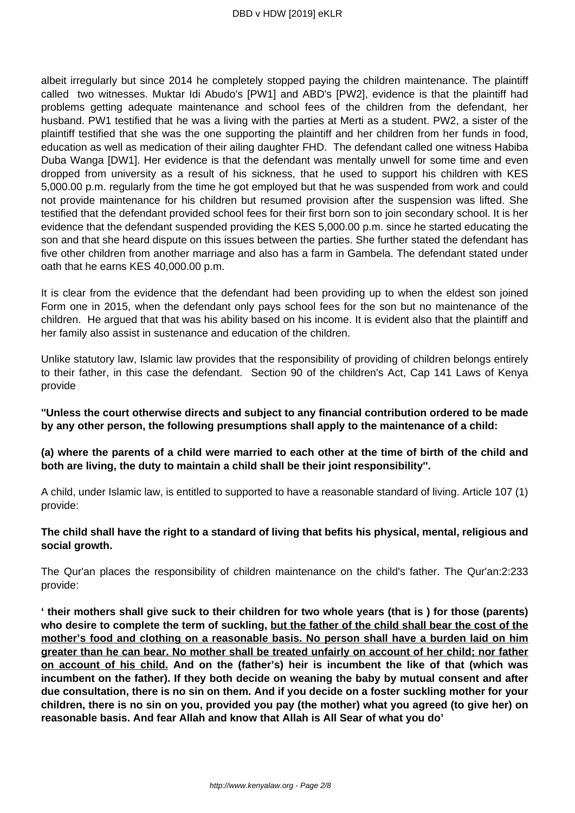albeit irregularly but since 2014 he completely stopped paying the children maintenance. The plaintiff called two witnesses. Muktar Idi Abudo's [PW1] and ABD's [PW2], evidence is that the plaintiff had problems getting adequate maintenance and school fees of the children from the defendant, her husband. PW1 testified that he was a living with the parties at Merti as a student. PW2, a sister of the plaintiff testified that she was the one supporting the plaintiff and her children from her funds in food, education as well as medication of their ailing daughter FHD. The defendant called one witness Habiba Duba Wanga [DW1]. Her evidence is that the defendant was mentally unwell for some time and even dropped from university as a result of his sickness, that he used to support his children with KES 5,000.00 p.m. regularly from the time he got employed but that he was suspended from work and could not provide maintenance for his children but resumed provision after the suspension was lifted. She testified that the defendant provided school fees for their first born son to join secondary school. It is her evidence that the defendant suspended providing the KES 5,000.00 p.m. since he started educating the son and that she heard dispute on this issues between the parties. She further stated the defendant has five other children from another marriage and also has a farm in Gambela. The defendant stated under oath that he earns KES 40,000.00 p.m.

It is clear from the evidence that the defendant had been providing up to when the eldest son joined Form one in 2015, when the defendant only pays school fees for the son but no maintenance of the children. He argued that that was his ability based on his income. It is evident also that the plaintiff and her family also assist in sustenance and education of the children.

Unlike statutory law, Islamic law provides that the responsibility of providing of children belongs entirely to their father, in this case the defendant. Section 90 of the children's Act, Cap 141 Laws of Kenya provide

**''Unless the court otherwise directs and subject to any financial contribution ordered to be made by any other person, the following presumptions shall apply to the maintenance of a child:**

**(a) where the parents of a child were married to each other at the time of birth of the child and both are living, the duty to maintain a child shall be their joint responsibility''.** 

A child, under Islamic law, is entitled to supported to have a reasonable standard of living. Article 107 (1) provide:

**The child shall have the right to a standard of living that befits his physical, mental, religious and social growth.** 

The Qur'an places the responsibility of children maintenance on the child's father. The Qur'an:2:233 provide:

**' their mothers shall give suck to their children for two whole years (that is ) for those (parents) who desire to complete the term of suckling, but the father of the child shall bear the cost of the mother's food and clothing on a reasonable basis. No person shall have a burden laid on him greater than he can bear. No mother shall be treated unfairly on account of her child; nor father on account of his child. And on the (father's) heir is incumbent the like of that (which was incumbent on the father). If they both decide on weaning the baby by mutual consent and after due consultation, there is no sin on them. And if you decide on a foster suckling mother for your children, there is no sin on you, provided you pay (the mother) what you agreed (to give her) on reasonable basis. And fear Allah and know that Allah is All Sear of what you do'**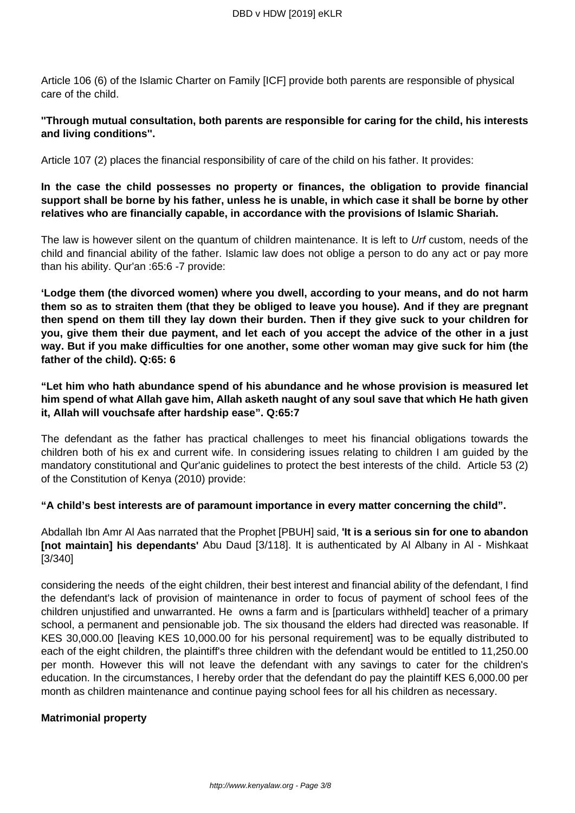Article 106 (6) of the Islamic Charter on Family [ICF] provide both parents are responsible of physical care of the child.

### **''Through mutual consultation, both parents are responsible for caring for the child, his interests and living conditions''.**

Article 107 (2) places the financial responsibility of care of the child on his father. It provides:

# **In the case the child possesses no property or finances, the obligation to provide financial support shall be borne by his father, unless he is unable, in which case it shall be borne by other relatives who are financially capable, in accordance with the provisions of Islamic Shariah.**

The law is however silent on the quantum of children maintenance. It is left to Urf custom, needs of the child and financial ability of the father. Islamic law does not oblige a person to do any act or pay more than his ability. Qur'an :65:6 -7 provide:

**'Lodge them (the divorced women) where you dwell, according to your means, and do not harm them so as to straiten them (that they be obliged to leave you house). And if they are pregnant then spend on them till they lay down their burden. Then if they give suck to your children for you, give them their due payment, and let each of you accept the advice of the other in a just way. But if you make difficulties for one another, some other woman may give suck for him (the father of the child). Q:65: 6**

**"Let him who hath abundance spend of his abundance and he whose provision is measured let him spend of what Allah gave him, Allah asketh naught of any soul save that which He hath given it, Allah will vouchsafe after hardship ease". Q:65:7** 

The defendant as the father has practical challenges to meet his financial obligations towards the children both of his ex and current wife. In considering issues relating to children I am guided by the mandatory constitutional and Qur'anic guidelines to protect the best interests of the child. Article 53 (2) of the Constitution of Kenya (2010) provide:

**"A child's best interests are of paramount importance in every matter concerning the child".**

Abdallah Ibn Amr Al Aas narrated that the Prophet [PBUH] said, **'It is a serious sin for one to abandon [not maintain] his dependants'** Abu Daud [3/118]. It is authenticated by Al Albany in Al - Mishkaat [3/340]

considering the needs of the eight children, their best interest and financial ability of the defendant, I find the defendant's lack of provision of maintenance in order to focus of payment of school fees of the children unjustified and unwarranted. He owns a farm and is [particulars withheld] teacher of a primary school, a permanent and pensionable job. The six thousand the elders had directed was reasonable. If KES 30,000.00 [leaving KES 10,000.00 for his personal requirement] was to be equally distributed to each of the eight children, the plaintiff's three children with the defendant would be entitled to 11,250.00 per month. However this will not leave the defendant with any savings to cater for the children's education. In the circumstances, I hereby order that the defendant do pay the plaintiff KES 6,000.00 per month as children maintenance and continue paying school fees for all his children as necessary.

### **Matrimonial property**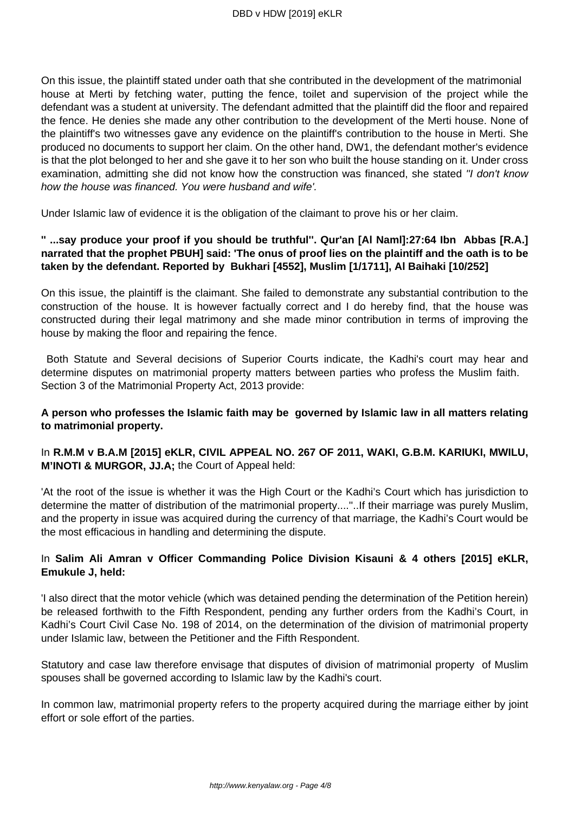On this issue, the plaintiff stated under oath that she contributed in the development of the matrimonial house at Merti by fetching water, putting the fence, toilet and supervision of the project while the defendant was a student at university. The defendant admitted that the plaintiff did the floor and repaired the fence. He denies she made any other contribution to the development of the Merti house. None of the plaintiff's two witnesses gave any evidence on the plaintiff's contribution to the house in Merti. She produced no documents to support her claim. On the other hand, DW1, the defendant mother's evidence is that the plot belonged to her and she gave it to her son who built the house standing on it. Under cross examination, admitting she did not know how the construction was financed, she stated "I don't know how the house was financed. You were husband and wife'.

Under Islamic law of evidence it is the obligation of the claimant to prove his or her claim.

## **'' ...say produce your proof if you should be truthful''. Qur'an [Al Naml]:27:64 Ibn Abbas [R.A.] narrated that the prophet PBUH] said: 'The onus of proof lies on the plaintiff and the oath is to be taken by the defendant. Reported by Bukhari [4552], Muslim [1/1711], Al Baihaki [10/252]**

On this issue, the plaintiff is the claimant. She failed to demonstrate any substantial contribution to the construction of the house. It is however factually correct and I do hereby find, that the house was constructed during their legal matrimony and she made minor contribution in terms of improving the house by making the floor and repairing the fence.

Both Statute and Several decisions of Superior Courts indicate, the Kadhi's court may hear and determine disputes on matrimonial property matters between parties who profess the Muslim faith. Section 3 of the Matrimonial Property Act, 2013 provide:

# **A person who professes the Islamic faith may be governed by Islamic law in all matters relating to matrimonial property.**

# In **R.M.M v B.A.M [2015] eKLR, CIVIL APPEAL NO. 267 OF 2011, WAKI, G.B.M. KARIUKI, MWILU, M'INOTI & MURGOR, JJ.A;** the Court of Appeal held:

'At the root of the issue is whether it was the High Court or the Kadhi's Court which has jurisdiction to determine the matter of distribution of the matrimonial property....''..If their marriage was purely Muslim, and the property in issue was acquired during the currency of that marriage, the Kadhi's Court would be the most efficacious in handling and determining the dispute.

# In **Salim Ali Amran v Officer Commanding Police Division Kisauni & 4 others [2015] eKLR, Emukule J, held:**

'I also direct that the motor vehicle (which was detained pending the determination of the Petition herein) be released forthwith to the Fifth Respondent, pending any further orders from the Kadhi's Court, in Kadhi's Court Civil Case No. 198 of 2014, on the determination of the division of matrimonial property under Islamic law, between the Petitioner and the Fifth Respondent.

Statutory and case law therefore envisage that disputes of division of matrimonial property of Muslim spouses shall be governed according to Islamic law by the Kadhi's court.

In common law, matrimonial property refers to the property acquired during the marriage either by joint effort or sole effort of the parties.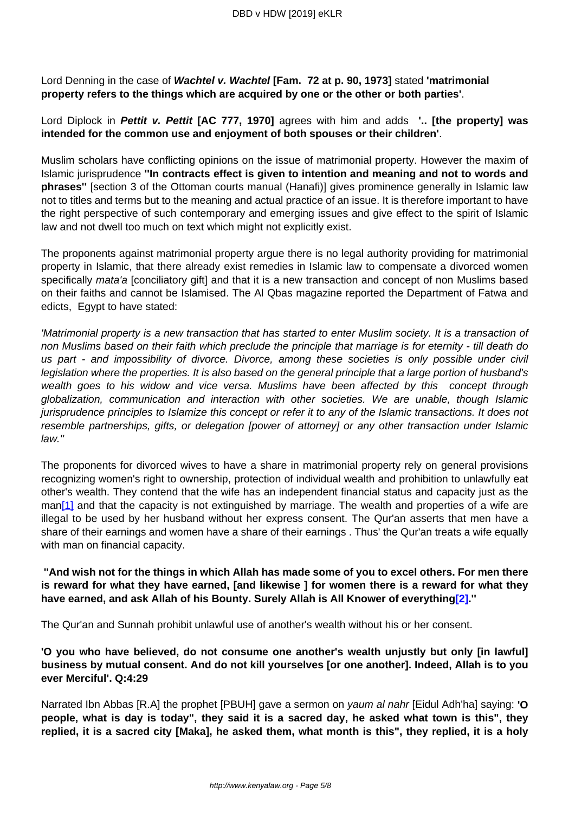Lord Denning in the case of **Wachtel v. Wachtel [Fam. 72 at p. 90, 1973]** stated **'matrimonial property refers to the things which are acquired by one or the other or both parties'**.

Lord Diplock in **Pettit v. Pettit [AC 777, 1970]** agrees with him and adds **'.. [the property] was intended for the common use and enjoyment of both spouses or their children'**.

Muslim scholars have conflicting opinions on the issue of matrimonial property. However the maxim of Islamic jurisprudence **''In contracts effect is given to intention and meaning and not to words and phrases''** [section 3 of the Ottoman courts manual (Hanafi)] gives prominence generally in Islamic law not to titles and terms but to the meaning and actual practice of an issue. It is therefore important to have the right perspective of such contemporary and emerging issues and give effect to the spirit of Islamic law and not dwell too much on text which might not explicitly exist.

The proponents against matrimonial property argue there is no legal authority providing for matrimonial property in Islamic, that there already exist remedies in Islamic law to compensate a divorced women specifically *mata'a* [conciliatory gift] and that it is a new transaction and concept of non Muslims based on their faiths and cannot be Islamised. The Al Qbas magazine reported the Department of Fatwa and edicts, Egypt to have stated:

'Matrimonial property is a new transaction that has started to enter Muslim society. It is a transaction of non Muslims based on their faith which preclude the principle that marriage is for eternity - till death do us part - and impossibility of divorce. Divorce, among these societies is only possible under civil legislation where the properties. It is also based on the general principle that a large portion of husband's wealth goes to his widow and vice versa. Muslims have been affected by this concept through globalization, communication and interaction with other societies. We are unable, though Islamic jurisprudence principles to Islamize this concept or refer it to any of the Islamic transactions. It does not resemble partnerships, gifts, or delegation [power of attorney] or any other transaction under Islamic law.''

The proponents for divorced wives to have a share in matrimonial property rely on general provisions recognizing women's right to ownership, protection of individual wealth and prohibition to unlawfully eat other's wealth. They contend that the wife has an independent financial status and capacity just as the man<sup>[1]</sup> and that the capacity is not extinguished by marriage. The wealth and properties of a wife are illegal to be used by her husband without her express consent. The Qur'an asserts that men have a share of their earnings and women have a share of their earnings . Thus' the Qur'an treats a wife equally with man on financial capacity.

**''And wish not for the things in which Allah has made some of you to excel others. For men there is reward for what they have earned, [and likewise ] for women there is a reward for what they have earned, and ask Allah of his Bounty. Surely Allah is All Knower of everything[2].''**

The Qur'an and Sunnah prohibit unlawful use of another's wealth without his or her consent.

**'O you who have believed, do not consume one another's wealth unjustly but only [in lawful] business by mutual consent. And do not kill yourselves [or one another]. Indeed, Allah is to you ever Merciful'. Q:4:29** 

Narrated Ibn Abbas [R.A] the prophet [PBUH] gave a sermon on yaum al nahr [Eidul Adh'ha] saying: **'O people, what is day is today", they said it is a sacred day, he asked what town is this", they replied, it is a sacred city [Maka], he asked them, what month is this", they replied, it is a holy**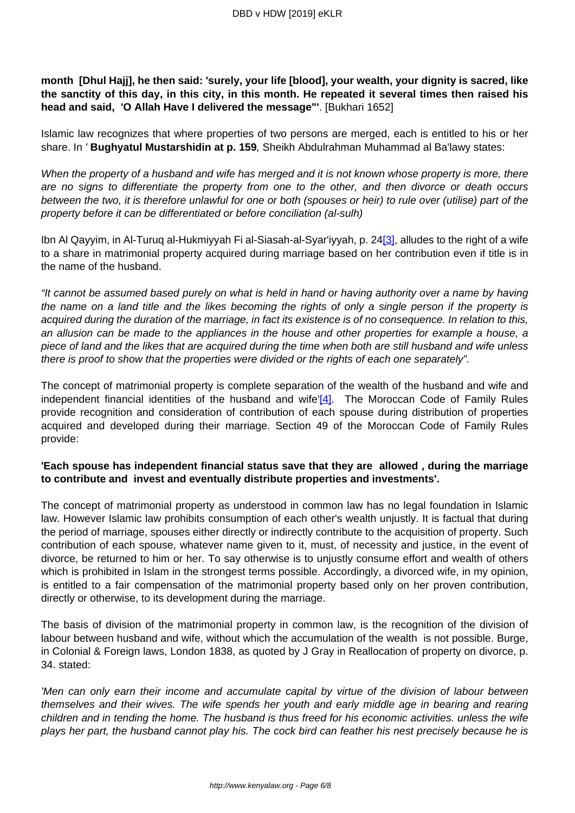**month [Dhul Hajj], he then said: 'surely, your life [blood], your wealth, your dignity is sacred, like the sanctity of this day, in this city, in this month. He repeated it several times then raised his head and said, 'O Allah Have I delivered the message"'**. [Bukhari 1652]

Islamic law recognizes that where properties of two persons are merged, each is entitled to his or her share. In ' **Bughyatul Mustarshidin at p. 159**, Sheikh Abdulrahman Muhammad al Ba'lawy states:

When the property of a husband and wife has merged and it is not known whose property is more, there are no signs to differentiate the property from one to the other, and then divorce or death occurs between the two, it is therefore unlawful for one or both (spouses or heir) to rule over (utilise) part of the property before it can be differentiated or before conciliation (al-sulh)

Ibn Al Qayyim, in Al-Turuq al-Hukmiyyah Fi al-Siasah-al-Syar'iyyah, p. 24[3], alludes to the right of a wife to a share in matrimonial property acquired during marriage based on her contribution even if title is in the name of the husband.

"It cannot be assumed based purely on what is held in hand or having authority over a name by having the name on a land title and the likes becoming the rights of only a single person if the property is acquired during the duration of the marriage, in fact its existence is of no consequence. In relation to this, an allusion can be made to the appliances in the house and other properties for example a house, a piece of land and the likes that are acquired during the time when both are still husband and wife unless there is proof to show that the properties were divided or the rights of each one separately".

The concept of matrimonial property is complete separation of the wealth of the husband and wife and independent financial identities of the husband and wife' $[4]$ . The Moroccan Code of Family Rules provide recognition and consideration of contribution of each spouse during distribution of properties acquired and developed during their marriage. Section 49 of the Moroccan Code of Family Rules provide:

# **'Each spouse has independent financial status save that they are allowed , during the marriage to contribute and invest and eventually distribute properties and investments'.**

The concept of matrimonial property as understood in common law has no legal foundation in Islamic law. However Islamic law prohibits consumption of each other's wealth unjustly. It is factual that during the period of marriage, spouses either directly or indirectly contribute to the acquisition of property. Such contribution of each spouse, whatever name given to it, must, of necessity and justice, in the event of divorce, be returned to him or her. To say otherwise is to unjustly consume effort and wealth of others which is prohibited in Islam in the strongest terms possible. Accordingly, a divorced wife, in my opinion, is entitled to a fair compensation of the matrimonial property based only on her proven contribution, directly or otherwise, to its development during the marriage.

The basis of division of the matrimonial property in common law, is the recognition of the division of labour between husband and wife, without which the accumulation of the wealth is not possible. Burge, in Colonial & Foreign laws, London 1838, as quoted by J Gray in Reallocation of property on divorce, p. 34. stated:

'Men can only earn their income and accumulate capital by virtue of the division of labour between themselves and their wives. The wife spends her youth and early middle age in bearing and rearing children and in tending the home. The husband is thus freed for his economic activities. unless the wife plays her part, the husband cannot play his. The cock bird can feather his nest precisely because he is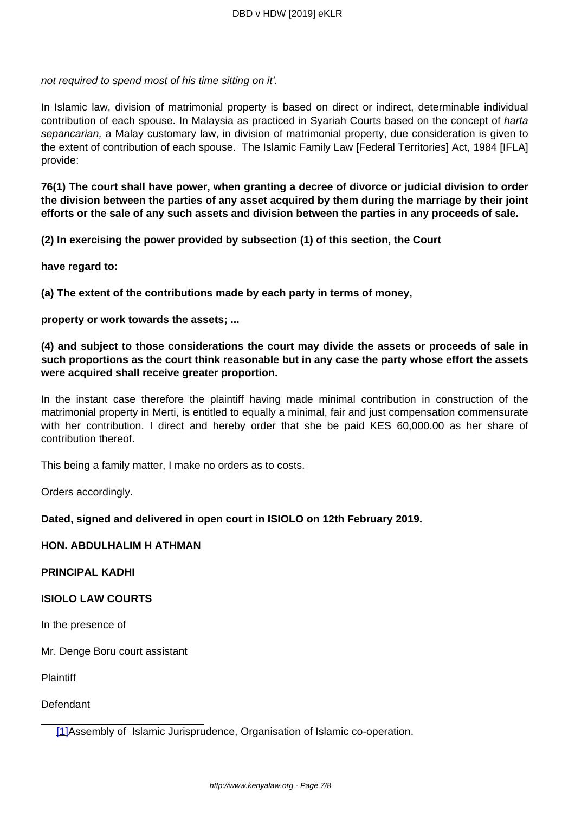not required to spend most of his time sitting on it'.

In Islamic law, division of matrimonial property is based on direct or indirect, determinable individual contribution of each spouse. In Malaysia as practiced in Syariah Courts based on the concept of harta sepancarian, a Malay customary law, in division of matrimonial property, due consideration is given to the extent of contribution of each spouse. The Islamic Family Law [Federal Territories] Act, 1984 [IFLA] provide:

**76(1) The court shall have power, when granting a decree of divorce or judicial division to order the division between the parties of any asset acquired by them during the marriage by their joint efforts or the sale of any such assets and division between the parties in any proceeds of sale.** 

**(2) In exercising the power provided by subsection (1) of this section, the Court**

**have regard to:** 

**(a) The extent of the contributions made by each party in terms of money,**

**property or work towards the assets; ...**

**(4) and subject to those considerations the court may divide the assets or proceeds of sale in such proportions as the court think reasonable but in any case the party whose effort the assets were acquired shall receive greater proportion.** 

In the instant case therefore the plaintiff having made minimal contribution in construction of the matrimonial property in Merti, is entitled to equally a minimal, fair and just compensation commensurate with her contribution. I direct and hereby order that she be paid KES 60,000.00 as her share of contribution thereof.

This being a family matter, I make no orders as to costs.

Orders accordingly.

#### **Dated, signed and delivered in open court in ISIOLO on 12th February 2019.**

## **HON. ABDULHALIM H ATHMAN**

**PRINCIPAL KADHI**

### **ISIOLO LAW COURTS**

In the presence of

Mr. Denge Boru court assistant

**Plaintiff** 

Defendant

[1]Assembly of Islamic Jurisprudence, Organisation of Islamic co-operation.